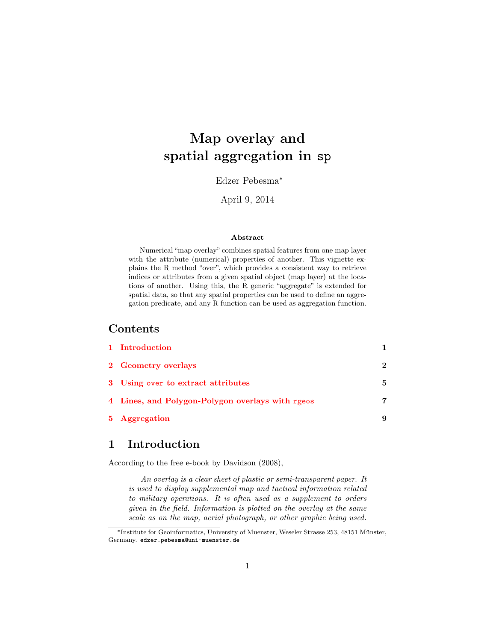# Map overlay and spatial aggregation in sp

Edzer Pebesma<sup>∗</sup>

April 9, 2014

#### Abstract

Numerical "map overlay" combines spatial features from one map layer with the attribute (numerical) properties of another. This vignette explains the R method "over", which provides a consistent way to retrieve indices or attributes from a given spatial object (map layer) at the locations of another. Using this, the R generic "aggregate" is extended for spatial data, so that any spatial properties can be used to define an aggregation predicate, and any R function can be used as aggregation function.

#### Contents

| 1 Introduction                                   |              |
|--------------------------------------------------|--------------|
| 2 Geometry overlays                              | $\mathbf{2}$ |
| 3 Using over to extract attributes               | 5.           |
| 4 Lines, and Polygon-Polygon overlays with rgeos | 7            |
| 5 Aggregation                                    |              |
|                                                  |              |

## <span id="page-0-0"></span>1 Introduction

According to the free e-book by Davidson (2008),

An overlay is a clear sheet of plastic or semi-transparent paper. It is used to display supplemental map and tactical information related to military operations. It is often used as a supplement to orders given in the field. Information is plotted on the overlay at the same scale as on the map, aerial photograph, or other graphic being used.

<sup>∗</sup>Institute for Geoinformatics, University of Muenster, Weseler Strasse 253, 48151 Munster, ¨ Germany. edzer.pebesma@uni-muenster.de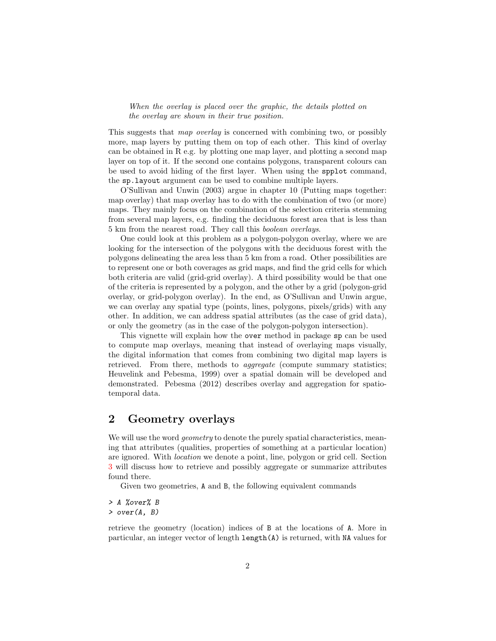#### When the overlay is placed over the graphic, the details plotted on the overlay are shown in their true position.

This suggests that map overlay is concerned with combining two, or possibly more, map layers by putting them on top of each other. This kind of overlay can be obtained in R e.g. by plotting one map layer, and plotting a second map layer on top of it. If the second one contains polygons, transparent colours can be used to avoid hiding of the first layer. When using the spplot command, the sp.layout argument can be used to combine multiple layers.

O'Sullivan and Unwin (2003) argue in chapter 10 (Putting maps together: map overlay) that map overlay has to do with the combination of two (or more) maps. They mainly focus on the combination of the selection criteria stemming from several map layers, e.g. finding the deciduous forest area that is less than 5 km from the nearest road. They call this boolean overlays.

One could look at this problem as a polygon-polygon overlay, where we are looking for the intersection of the polygons with the deciduous forest with the polygons delineating the area less than 5 km from a road. Other possibilities are to represent one or both coverages as grid maps, and find the grid cells for which both criteria are valid (grid-grid overlay). A third possibility would be that one of the criteria is represented by a polygon, and the other by a grid (polygon-grid overlay, or grid-polygon overlay). In the end, as O'Sullivan and Unwin argue, we can overlay any spatial type (points, lines, polygons, pixels/grids) with any other. In addition, we can address spatial attributes (as the case of grid data), or only the geometry (as in the case of the polygon-polygon intersection).

This vignette will explain how the over method in package sp can be used to compute map overlays, meaning that instead of overlaying maps visually, the digital information that comes from combining two digital map layers is retrieved. From there, methods to *aggregate* (compute summary statistics; Heuvelink and Pebesma, 1999) over a spatial domain will be developed and demonstrated. Pebesma (2012) describes overlay and aggregation for spatiotemporal data.

#### <span id="page-1-0"></span>2 Geometry overlays

We will use the word *geometry* to denote the purely spatial characteristics, meaning that attributes (qualities, properties of something at a particular location) are ignored. With location we denote a point, line, polygon or grid cell. Section [3](#page-4-0) will discuss how to retrieve and possibly aggregate or summarize attributes found there.

Given two geometries, A and B, the following equivalent commands

> A %over% B > over(A, B)

retrieve the geometry (location) indices of B at the locations of A. More in particular, an integer vector of length length(A) is returned, with NA values for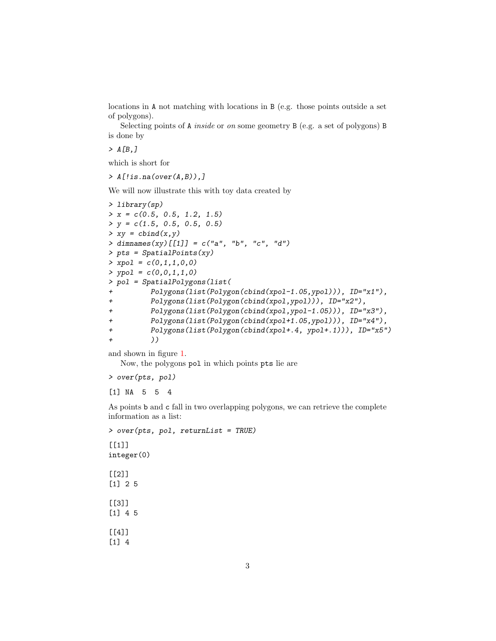locations in A not matching with locations in B (e.g. those points outside a set of polygons).

Selecting points of A inside or on some geometry B (e.g. a set of polygons) B is done by

 $> A[B, J]$ 

which is short for

 $> A[$ !is.na(over(A,B)),]

We will now illustrate this with toy data created by

```
> library(sp)
> x = c(0.5, 0.5, 1.2, 1.5)> y = c(1.5, 0.5, 0.5, 0.5)> xy = \text{cbind}(x, y)> dimnames(xy)[[1]] = c("a", "b", "c", "d")
> pts = SpatialPoints(xy)
> xpol = c(0,1,1,0,0)> ypol = c(0,0,1,1,0)> pol = SpatialPolygons(list(
+ Polygons(list(Polygon(cbind(xpol-1.05,ypol))), ID="x1"),
+ Polygons(list(Polygon(cbind(xpol,ypol))), ID="x2"),
+ Polygons(list(Polygon(cbind(xpol,ypol-1.05))), ID="x3"),
+ Polygons(list(Polygon(cbind(xpol+1.05,ypol))), ID="x4"),
+ Polygons(list(Polygon(cbind(xpol+.4, ypol+.1))), ID="x5")
+ ))
```
and shown in figure [1.](#page-3-0)

Now, the polygons pol in which points pts lie are

> over(pts, pol)

[1] NA 5 5 4

As points b and c fall in two overlapping polygons, we can retrieve the complete information as a list:

```
> over(pts, pol, returnList = TRUE)
[1]]
integer(0)
[[2]]
[1] 2 5
[[3]]
[1] 4 5
[[4]]
[1] 4
```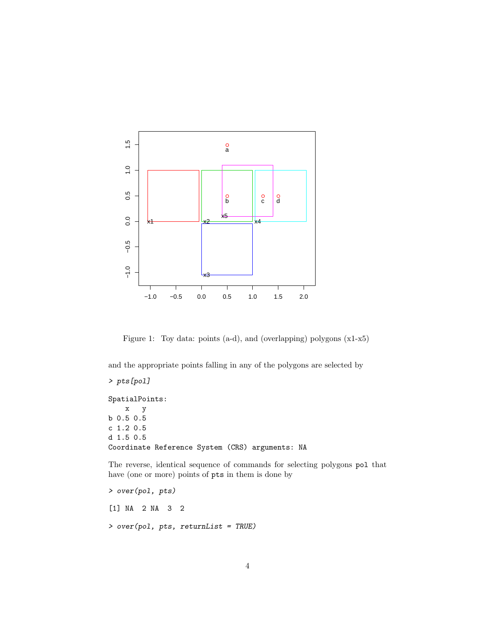

<span id="page-3-0"></span>Figure 1: Toy data: points (a-d), and (overlapping) polygons (x1-x5)

and the appropriate points falling in any of the polygons are selected by

```
> pts[pol]
SpatialPoints:
   x y
b 0.5 0.5
c 1.2 0.5
d 1.5 0.5
Coordinate Reference System (CRS) arguments: NA
```
The reverse, identical sequence of commands for selecting polygons pol that have (one or more) points of pts in them is done by

```
> over(pol, pts)
[1] NA 2 NA 3 2
> over(pol, pts, returnList = TRUE)
```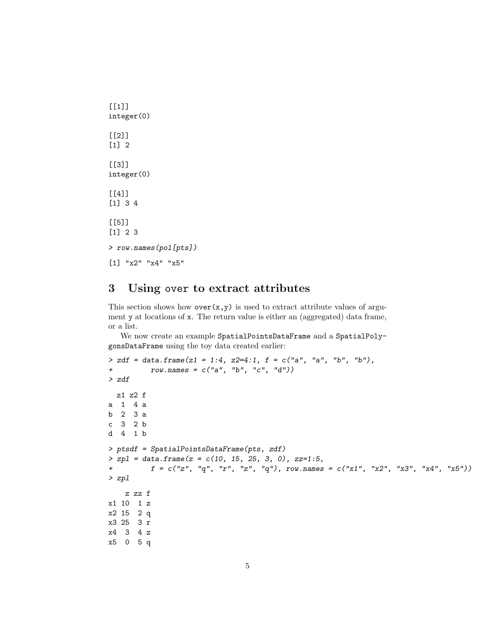```
[[1]]
integer(0)
[[2]]
[1] 2
[[3]]
integer(0)
[[4]]
[1] 3 4
[[5]]
[1] 2 3
> row.names(pol[pts])
[1] "x2" "x4" "x5"
```
#### <span id="page-4-0"></span>3 Using over to extract attributes

This section shows how  $over(x,y)$  is used to extract attribute values of argument y at locations of x. The return value is either an (aggregated) data frame, or a list.

We now create an example SpatialPointsDataFrame and a SpatialPolygonsDataFrame using the toy data created earlier:

```
> zdf = data.frame(z1 = 1:4, z2=4:1, f = c("a", "a", "b", "b"),+ row.nameS = c("a", "b", "c", "d"))> zdf
 z1 z2 f
a 1 4 a
b 2 3 a
c 3 2 b
d 4 1 b
> ptsdf = SpatialPointsDataFrame(pts, zdf)
> zpl = data frame(z = c(10, 15, 25, 3, 0), zz=1:5,+ f = c("z", "q", "r", "z", "q"), row.names = c("x1", "x2", "x3", "x4", "x5"))> zpl
   z zz f
x1 10 1 z
x2 15 2 q
x3 25 3 r
x4 3 4 z
x5 0 5 q
```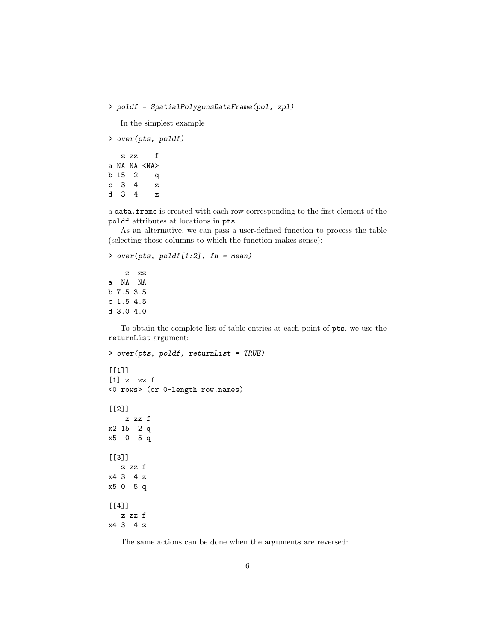```
> poldf = SpatialPolygonsDataFrame(pol, zpl)
```
In the simplest example

```
> over(pts, poldf)
  z zz f
a NA NA <NA>
b 15 2 q
c 3 4 z
d 3 4 z
```
a data.frame is created with each row corresponding to the first element of the poldf attributes at locations in pts.

As an alternative, we can pass a user-defined function to process the table (selecting those columns to which the function makes sense):

```
> over(pts, poldf[1:2], fn = mean)z zz
```

```
a NA NA
b 7.5 3.5
c 1.5 4.5
d 3.0 4.0
```
To obtain the complete list of table entries at each point of pts, we use the returnList argument:

```
> over(pts, poldf, returnList = TRUE)
[[1]]
[1] z zz f
<0 rows> (or 0-length row.names)
[[2]]
   z zz f
x2 15 2 q
x5 0 5 q
[[3]]
  z zz f
x4 3 4 z
x5 0 5 q
[[4]]
   z zz f
x4 3 4 z
```
The same actions can be done when the arguments are reversed: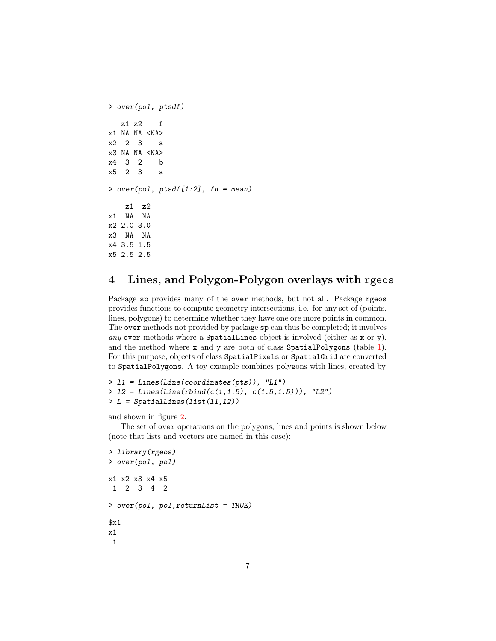```
> over(pol, ptsdf)
  z1 z2 f
x1 NA NA <NA>
x2 2 3 a
x3 NA NA <NA>
x4 3 2 b
x5 2 3 a
> over(pol, ptsdf[1:2], fn = mean)z1 z2
x1 NA NA
x2 2.0 3.0
x3 NA NA
x4 3.5 1.5
x5 2.5 2.5
```
## <span id="page-6-0"></span>4 Lines, and Polygon-Polygon overlays with rgeos

Package sp provides many of the over methods, but not all. Package rgeos provides functions to compute geometry intersections, i.e. for any set of (points, lines, polygons) to determine whether they have one ore more points in common. The over methods not provided by package sp can thus be completed; it involves any over methods where a SpatialLines object is involved (either as x or y), and the method where x and y are both of class SpatialPolygons (table [1\)](#page-7-0). For this purpose, objects of class SpatialPixels or SpatialGrid are converted to SpatialPolygons. A toy example combines polygons with lines, created by

```
> l1 = Lines(Line(coordinates(pts)), "L1")
> 12 = Lines(Line(rbind(c(1,1.5), c(1.5,1.5))), "L2")
> L = SpatialLines(Iist(11,12))
```
and shown in figure [2.](#page-8-1)

The set of over operations on the polygons, lines and points is shown below (note that lists and vectors are named in this case):

```
> library(rgeos)
> over(pol, pol)
x1 x2 x3 x4 x5
1 2 3 4 2
> over(pol, pol,returnList = TRUE)
$x1x1
 1
```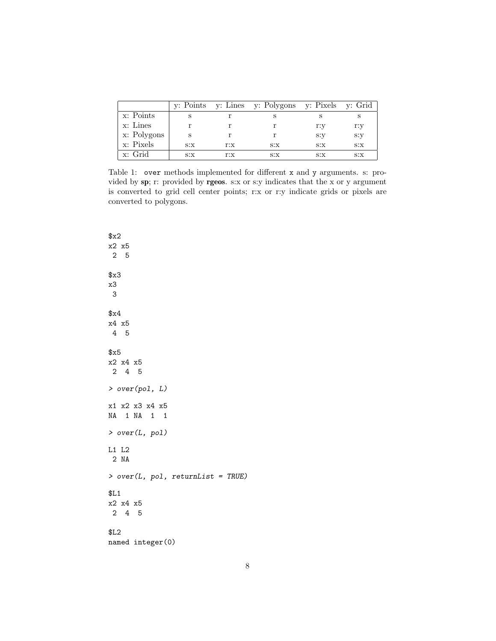|             |      |      | y: Points y: Lines y: Polygons y: Pixels y: Grid |     |      |
|-------------|------|------|--------------------------------------------------|-----|------|
| x: Points   |      |      |                                                  |     |      |
| x: Lines    |      |      |                                                  | r:y | r:y  |
| x: Polygons |      |      |                                                  | s:y | s:y  |
| x: Pixels   | S: X | r:x  | S: X                                             | S:X | S: X |
| x: Grid     | S: X | r: x | S:X                                              | S:X | S: X |

<span id="page-7-0"></span>Table 1: over methods implemented for different x and y arguments. s: provided by sp; r: provided by rgeos. s:x or s:y indicates that the x or y argument is converted to grid cell center points; r:x or r:y indicate grids or pixels are converted to polygons.

| x2                |                                   |  |
|-------------------|-----------------------------------|--|
| x2 x5             |                                   |  |
| 2 <sub>5</sub>    |                                   |  |
|                   |                                   |  |
| x3                |                                   |  |
| x3                |                                   |  |
| - 3               |                                   |  |
|                   |                                   |  |
| \$x4              |                                   |  |
| x4 x5             |                                   |  |
| 4 5               |                                   |  |
|                   |                                   |  |
| x5                |                                   |  |
| x2 x4 x5          |                                   |  |
| 2 4 5             |                                   |  |
|                   |                                   |  |
| > over(pol, L)    |                                   |  |
| x1 x2 x3 x4 x5    |                                   |  |
| NA 1 NA 1 1       |                                   |  |
|                   |                                   |  |
| > over(L, pol)    |                                   |  |
|                   |                                   |  |
| L1 L2             |                                   |  |
| 2 NA              |                                   |  |
|                   | > over(L, pol, returnList = TRUE) |  |
|                   |                                   |  |
| \$L1              |                                   |  |
| x2 x4 x5          |                                   |  |
| $2\quad 4\quad 5$ |                                   |  |
|                   |                                   |  |
| \$L2              |                                   |  |
| named integer(0)  |                                   |  |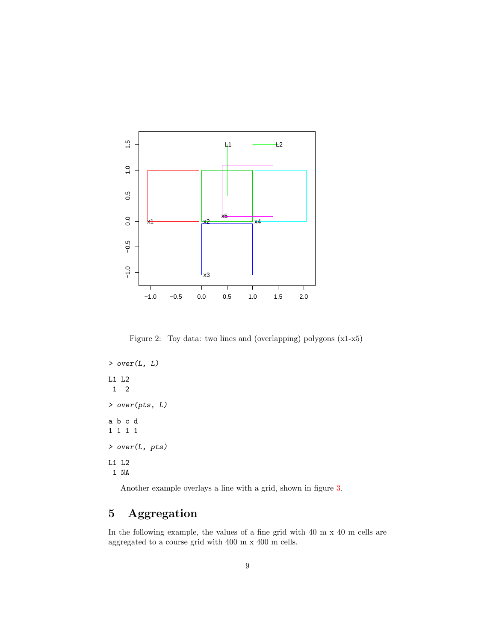

<span id="page-8-1"></span>Figure 2: Toy data: two lines and (overlapping) polygons (x1-x5)

> over(L, L) L1 L2<br>1  $\begin{array}{c} 2 \end{array}$ **1** > over(pts, L) a b c d 1 1 1 1 > over(L, pts) L1 L2 1 NA

Another example overlays a line with a grid, shown in figure [3.](#page-9-0)

## <span id="page-8-0"></span>5 Aggregation

In the following example, the values of a fine grid with 40 m x 40 m cells are aggregated to a course grid with 400 m x 400 m cells.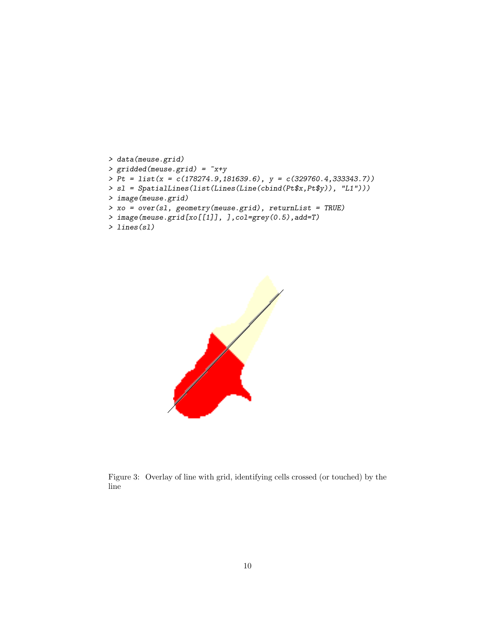```
> data(meuse.grid)
> gridded(meuse.grid) = x+y> Pt = list(x = c(178274.9,181639.6), y = c(329760.4,333343.7))> sl = SpatialLines(list(Lines(Line(cbind(Pt$x,Pt$y)), "L1")))
> image(meuse.grid)
> xo = over(sl, geometry(meuse.grid), returnList = TRUE)
> image(meuse.grid[xo[[1]], ],col=grey(0.5),add=T)
```

```
> lines(sl)
```


<span id="page-9-0"></span>Figure 3: Overlay of line with grid, identifying cells crossed (or touched) by the line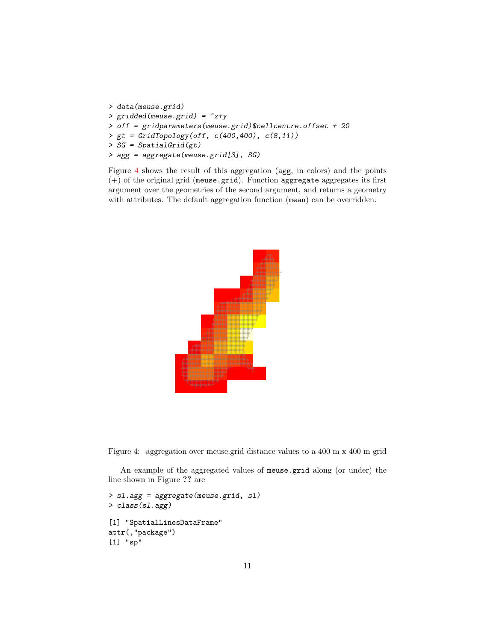```
> data(meuse.grid)
> gridded(meuse.grid) = ~x+y
> off = gridparameters(meuse.grid)$cellcentre.offset + 20
> gt = GridTopology(off, c(400,400), c(8,11))
> SG = SpatialGrid(gt)
> agg = aggregate(meuse.grid[3], SG)
```
Figure [4](#page-10-0) shows the result of this aggregation (agg, in colors) and the points (+) of the original grid (meuse.grid). Function aggregate aggregates its first argument over the geometries of the second argument, and returns a geometry with attributes. The default aggregation function (mean) can be overridden.



<span id="page-10-0"></span>Figure 4: aggregation over meuse.grid distance values to a 400 m x 400 m grid

An example of the aggregated values of meuse.grid along (or under) the line shown in Figure ?? are

```
> sl.agg = aggregate(meuse.grid, sl)
> class(sl.agg)
[1] "SpatialLinesDataFrame"
attr(,"package")
[1] "sp"
```